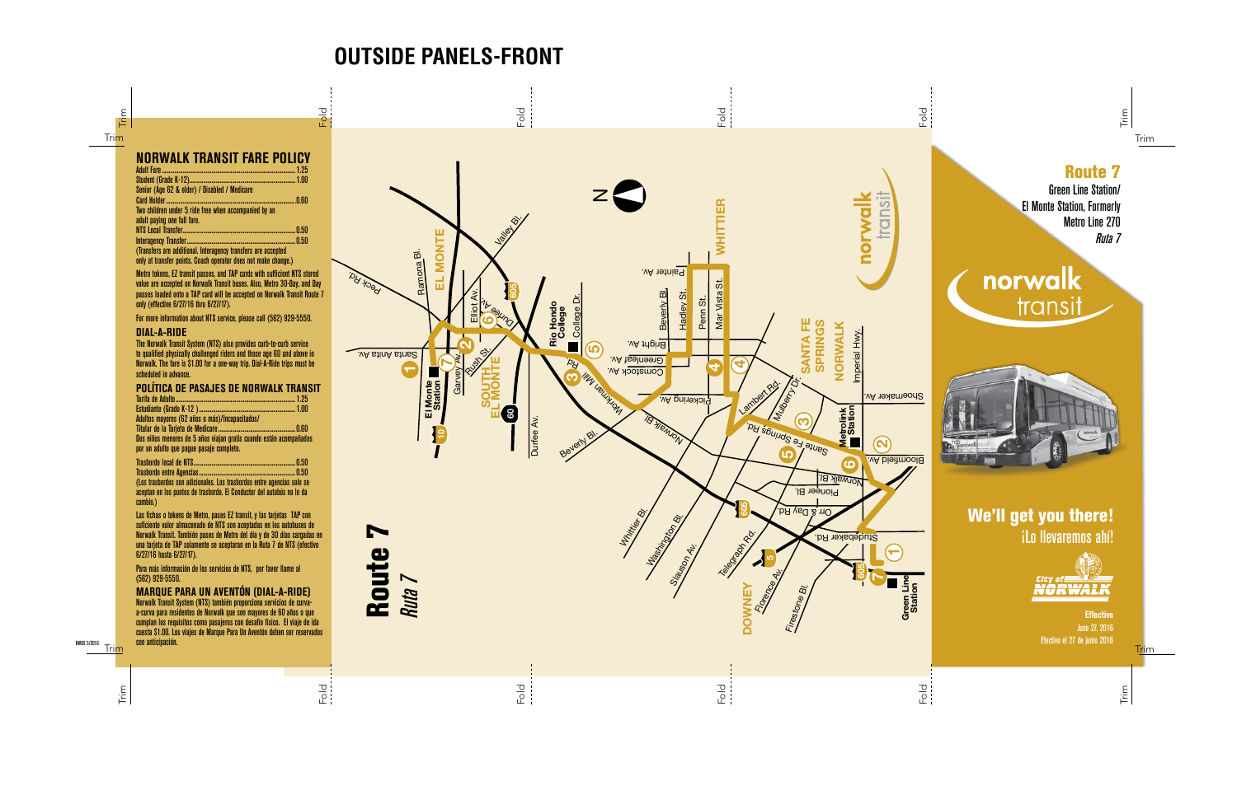

Adult Fare.................................................................................................1.25 Student (Grade K-12).............................................................................1.00 Senior (Age 62 & older) / Disabled / Medicare Card Holder............................................................................................. .0.60 Two children under 5 ride free when accompanied by an adult paying one full fare. NTS Local Transfer..................................................................................0.50 Interagency Transfer.

(Transfers are additional. Interagency transfers are accepted only at transfer points. Coach operator does not make change.)

Metro tokens, EZ transit passes, and TAP cards with sufficient NTS stored value are accepted on Norwalk Transit buses. Also, Metro 30-Day, and Day passes loaded onto a TAP card will be accepted on Norwalk Transit Route 7 only (effective 6/27/16 thru 6/27/17).

For more information about NTS service, please call (562) 929-5550.

### **DIAL-A-RIDE**

The Norwalk Transit System (NTS) also provides curb-to-curb service to qualified physically challenged riders and those age 60 and above in Norwalk. The fare is \$1.00 for a one-way trip. Dial-A-Ride trips must be scheduled in advance.

| POLÍTICA DE PASAJES DE NORWALK TRANSIT         |  |
|------------------------------------------------|--|
|                                                |  |
|                                                |  |
| Adultos mayores (62 años o más)/Incapacitados/ |  |

Tarieta de Medicare..... Dos niños menores de 5 años viajan gratis cuando están acompañados por un adulto que pague pasaje completo.

| (Los trasbordos son adicionales. Los trasbordos entre agencias solo se<br>aceptan en los puntos de trasbordo. El Conductor del autobús no le da<br>cambio.) |  |
|-------------------------------------------------------------------------------------------------------------------------------------------------------------|--|

Las fichas o tokens de Metro, pases EZ transit, y las tarjetas TAP con suficiente valor almacenado de NTS son aceptadas en los autobuses de Norwalk Transit. También pases de Metro del día y de 30 días cargadas en una tarjeta de TAP solamente se aceptaran en la Ruta 7 de NTS (efectivo 6/27/16 hasta 6/27/17).

Para más información de los servicios de NTS, por favor llame al (562) 929-5550.

**MARQUE PARA UN AVENTÓN (DIAL-A-RIDE)** Norwalk Transit System (NTS) también proporciona servicios de curvaa-curva para residentes de Norwalk que son mayores de 60 años o que cumplan los requisitos como pasajeros con desafío físico. El viaje de ida cuesta \$1.00. Los viajes de Marque Para Un Aventón deben ser reservados con anticipación.